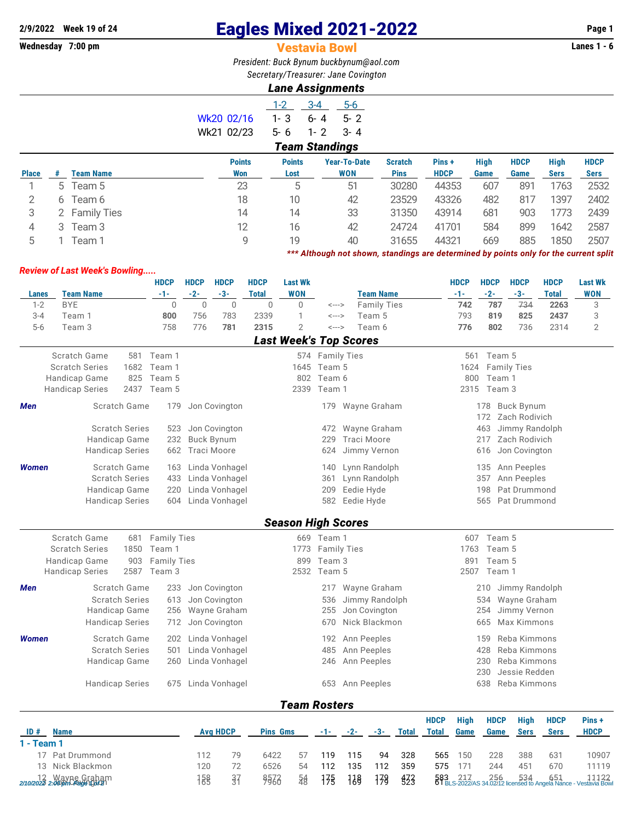## **2/9/2022 Week 19 of 24** Eagles Mixed 2021-2022 **Page 1**

## **Vestavia Bowl**

*President: Buck Bynum [buckbynum@aol.com](mailto:buckbynum@aol.com) Secretary/Treasurer: Jane Covington*

## *Lane Assignments*

|              |   |                  |               | $1 - 2$       | $3 - 4$<br>$5-6$      |                |             |             |             |             |             |
|--------------|---|------------------|---------------|---------------|-----------------------|----------------|-------------|-------------|-------------|-------------|-------------|
|              |   |                  | Wk20 02/16    | $1 - 3$       | $5 - 2$<br>$6 - 4$    |                |             |             |             |             |             |
|              |   |                  | Wk21 02/23    | $5 - 6$       | $1 - 2$<br>$3 - 4$    |                |             |             |             |             |             |
|              |   |                  |               |               | <b>Team Standings</b> |                |             |             |             |             |             |
|              |   |                  | <b>Points</b> | <b>Points</b> | <b>Year-To-Date</b>   | <b>Scratch</b> | Pins+       | <b>High</b> | <b>HDCP</b> | <b>High</b> | <b>HDCP</b> |
| <b>Place</b> | # | <b>Team Name</b> | Won           | Lost          | <b>WON</b>            | <b>Pins</b>    | <b>HDCP</b> | Game        | Game        | <b>Sers</b> | <b>Sers</b> |
|              |   | 5 Team 5         | 23            | 5             | 51                    | 30280          | 44353       | 607         | 891         | 1763        | 2532        |
| 2            |   | 6 Team 6         | 18            | 10            | 42                    | 23529          | 43326       | 482         | 817         | 1397        | 2402        |
| 3            |   | 2 Family Ties    | 14            | 14            | 33                    | 31350          | 43914       | 681         | 903         | 1773        | 2439        |
| 4            |   | 3 Team 3         | 12            | 16            | 42                    | 24724          | 41701       | 584         | 899         | 1642        | 2587        |
| 5            |   | Team 1           | 9             | 19            | 40                    | 31655          | 44321       | 669         | 885         | 1850        | 2507        |
|              |   |                  |               |               |                       |                |             |             |             |             |             |

*\*\*\* Although not shown, standings are determined by points only for the current split*

## *Review of Last Week's Bowling.....*

|                                                  |                        |      | <b>HDCP</b>        | <b>HDCP</b>     | <b>HDCP</b>        | <b>HDCP</b>     | <b>Last Wk</b>                |                    |                    |                    |                     |             | <b>HDCP</b> | <b>HDCP</b> | <b>HDCP</b>        | <b>HDCP</b>                                                                       | <b>Last Wk</b> |
|--------------------------------------------------|------------------------|------|--------------------|-----------------|--------------------|-----------------|-------------------------------|--------------------|--------------------|--------------------|---------------------|-------------|-------------|-------------|--------------------|-----------------------------------------------------------------------------------|----------------|
| <b>Lanes</b>                                     | <b>Team Name</b>       |      | -1-                | $-2-$           | $-3-$              | <b>Total</b>    | <b>WON</b>                    |                    |                    | <b>Team Name</b>   |                     |             | $-1-$       | $-2-$       | $-3-$              | <b>Total</b>                                                                      | <b>WON</b>     |
| $1 - 2$                                          | <b>BYE</b>             |      | $\mathbf 0$        | $\overline{0}$  | $\mathbf 0$        | $\overline{0}$  | 0                             | <--->              |                    | <b>Family Ties</b> |                     |             | 742         | 787         | 734                | 2263                                                                              | 3              |
| $3 - 4$                                          | Team 1                 |      | 800                | 756             | 783                | 2339            | 1                             | <--->              |                    | Team 5             |                     |             | 793         | 819         | 825                | 2437                                                                              | 3              |
| $5-6$                                            | Team 3                 |      | 758                | 776             | 781                | 2315            | $\overline{2}$                | $\leftarrow$ --->  |                    | Team 6             |                     |             | 776         | 802         | 736                | 2314                                                                              | $\overline{2}$ |
|                                                  |                        |      |                    |                 |                    |                 | <b>Last Week's Top Scores</b> |                    |                    |                    |                     |             |             |             |                    |                                                                                   |                |
|                                                  | Scratch Game           |      | 581 Team 1         |                 |                    |                 |                               | 574 Family Ties    |                    |                    |                     |             | 561         | Team 5      |                    |                                                                                   |                |
|                                                  | <b>Scratch Series</b>  | 1682 | Team 1             |                 |                    |                 |                               | 1645 Team 5        |                    |                    |                     |             | 1624        |             | <b>Family Ties</b> |                                                                                   |                |
|                                                  | Handicap Game          | 825  | Team 5             |                 |                    |                 | 802                           | Team 6             |                    |                    |                     |             | 800         | Team 1      |                    |                                                                                   |                |
|                                                  | <b>Handicap Series</b> | 2437 | Team 5             |                 |                    |                 | 2339                          | Team 1             |                    |                    |                     |             |             | 2315 Team 3 |                    |                                                                                   |                |
| Men                                              | Scratch Game           |      | 179                |                 | Jon Covington      |                 |                               | 179                |                    | Wayne Graham       |                     |             |             | 178         | <b>Buck Bynum</b>  |                                                                                   |                |
|                                                  |                        |      |                    |                 |                    |                 |                               |                    |                    |                    |                     |             |             | 172         | Zach Rodivich      |                                                                                   |                |
|                                                  | <b>Scratch Series</b>  |      | 523                |                 | Jon Covington      |                 |                               | 472                |                    | Wayne Graham       |                     |             |             | 463         | Jimmy Randolph     |                                                                                   |                |
|                                                  | <b>Handicap Game</b>   |      | 232                |                 | <b>Buck Bynum</b>  |                 |                               | 229                | <b>Traci Moore</b> |                    |                     |             |             | 217         | Zach Rodivich      |                                                                                   |                |
|                                                  | <b>Handicap Series</b> |      | 662                |                 | <b>Traci Moore</b> |                 |                               | 624                |                    | Jimmy Vernon       |                     |             |             | 616         | Jon Covington      |                                                                                   |                |
| <b>Women</b>                                     | Scratch Game           |      | 163                |                 | Linda Vonhagel     |                 |                               | 140                |                    | Lynn Randolph      |                     |             |             | 135         | Ann Peeples        |                                                                                   |                |
|                                                  | <b>Scratch Series</b>  |      | 433                |                 | Linda Vonhagel     |                 |                               | 361                |                    | Lynn Randolph      |                     |             |             | 357         | Ann Peeples        |                                                                                   |                |
|                                                  | Handicap Game          |      | 220                |                 | Linda Vonhagel     |                 |                               | 209                | Eedie Hyde         |                    |                     |             |             | 198         | Pat Drummond       |                                                                                   |                |
|                                                  | <b>Handicap Series</b> |      | 604                |                 | Linda Vonhagel     |                 |                               | 582                | Eedie Hyde         |                    |                     |             |             | 565         | Pat Drummond       |                                                                                   |                |
|                                                  |                        |      |                    |                 |                    |                 | <b>Season High Scores</b>     |                    |                    |                    |                     |             |             |             |                    |                                                                                   |                |
|                                                  | Scratch Game           | 681  | <b>Family Ties</b> |                 |                    |                 |                               | 669 Team 1         |                    |                    |                     |             | 607         | Team 5      |                    |                                                                                   |                |
|                                                  | <b>Scratch Series</b>  | 1850 | Team 1             |                 |                    |                 | 1773                          |                    | <b>Family Ties</b> |                    |                     |             | 1763        | Team 5      |                    |                                                                                   |                |
|                                                  | <b>Handicap Game</b>   | 903  | <b>Family Ties</b> |                 |                    |                 | Team 3<br>899                 |                    |                    |                    |                     | 891         | Team 5      |             |                    |                                                                                   |                |
|                                                  | <b>Handicap Series</b> | 2587 | Team 3             |                 |                    |                 | 2532                          | Team 5             |                    |                    |                     |             |             | 2507 Team 1 |                    |                                                                                   |                |
| Men                                              | Scratch Game           |      | 233                |                 | Jon Covington      |                 |                               |                    | 217 Wayne Graham   |                    |                     |             |             | 210         | Jimmy Randolph     |                                                                                   |                |
|                                                  | <b>Scratch Series</b>  |      | 613                |                 | Jon Covington      |                 |                               | 536                |                    | Jimmy Randolph     |                     |             |             | 534         | Wayne Graham       |                                                                                   |                |
|                                                  | Handicap Game          |      | 256                |                 | Wayne Graham       |                 |                               | 255                |                    | Jon Covington      |                     |             |             | 254         | Jimmy Vernon       |                                                                                   |                |
|                                                  | <b>Handicap Series</b> |      | 712                |                 | Jon Covington      |                 |                               | 670                |                    | Nick Blackmon      |                     |             |             | 665         | Max Kimmons        |                                                                                   |                |
| <b>Women</b>                                     | Scratch Game           |      |                    |                 | 202 Linda Vonhagel |                 |                               | 192                |                    | Ann Peeples        |                     |             |             | 159         | Reba Kimmons       |                                                                                   |                |
|                                                  | <b>Scratch Series</b>  |      | 501                |                 | Linda Vonhagel     |                 |                               | Ann Peeples<br>485 |                    |                    | 428<br>Reba Kimmons |             |             |             |                    |                                                                                   |                |
|                                                  | Handicap Game          |      | 260                |                 | Linda Vonhagel     |                 |                               | 246                |                    | Ann Peeples        |                     |             |             | 230         | Reba Kimmons       |                                                                                   |                |
|                                                  |                        |      |                    |                 |                    |                 |                               |                    |                    |                    |                     |             |             | 230         | Jessie Redden      |                                                                                   |                |
|                                                  | <b>Handicap Series</b> |      | 675                |                 | Linda Vonhagel     |                 |                               | 653                |                    | Ann Peeples        |                     |             |             | 638         | Reba Kimmons       |                                                                                   |                |
|                                                  |                        |      |                    |                 |                    |                 | <b>Team Rosters</b>           |                    |                    |                    |                     |             |             |             |                    |                                                                                   |                |
|                                                  |                        |      |                    |                 |                    |                 |                               |                    |                    |                    |                     | <b>HDCP</b> | <b>High</b> | <b>HDCP</b> | <b>High</b>        | <b>HDCP</b>                                                                       | Pins+          |
| ID#<br><b>Name</b>                               |                        |      |                    | <b>Avg HDCP</b> | <b>Pins Gms</b>    |                 | -1-                           | $-2-$              | -3-                | <b>Total</b>       | <b>Total</b>        | Game        | Game        | <b>Sers</b> | <b>Sers</b>        | <b>HDCP</b>                                                                       |                |
| $1 - Team 1$                                     |                        |      |                    |                 |                    |                 |                               |                    |                    |                    |                     |             |             |             |                    |                                                                                   |                |
|                                                  | 17 Pat Drummond        |      |                    | 112             | 79                 | 6422            | 57                            | 119                | 115                | 94                 | 328                 | 565         | 150         | 228         | 388                | 631                                                                               | 10907          |
|                                                  | 13 Nick Blackmon       |      |                    | 120             | 72                 | 6526            | 54                            | 112                | 135                | 112                | 359                 | 575         | 171         | 244         | 451                | 670                                                                               | 11119          |
| 12 Wayne Graham<br>2/10/2023 2:00 pm Radian Data |                        |      | 158                | $\frac{37}{3}$  | 9572               | $\frac{54}{56}$ | 175                           | 118                | 179                | \$33               | 583<br>Bl           |             |             |             |                    | 217 256 534 651 1122<br>-2022/AS 34.02:12 licensed to Angela Nance - Vestavia Bow |                |